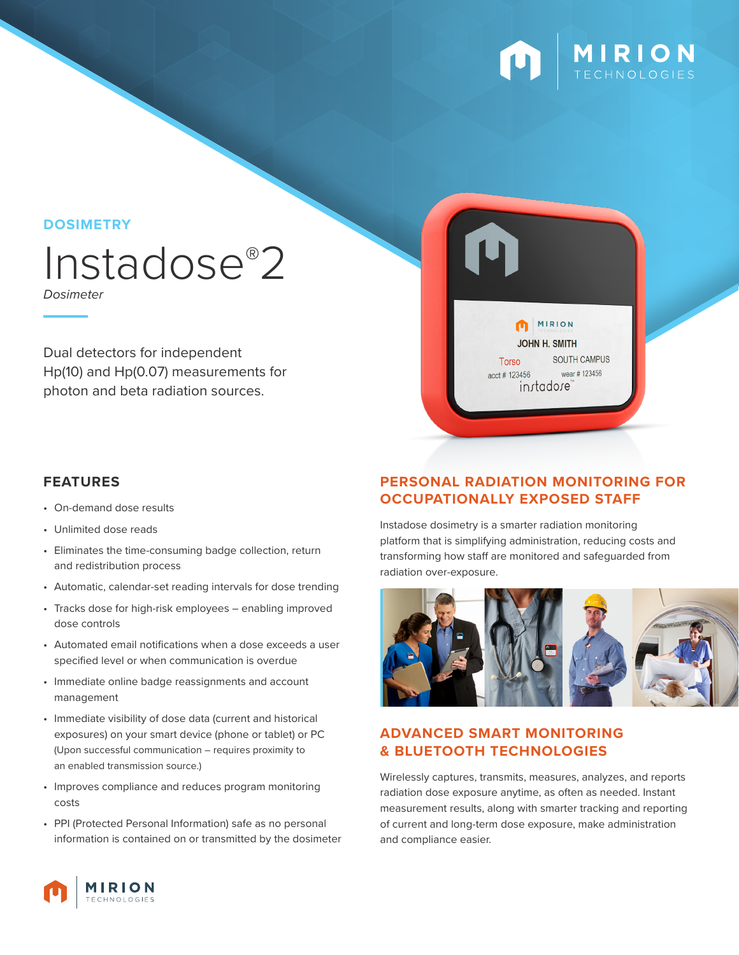

## **DOSIMETRY**

# Instadose®2

*Dosimeter*

Dual detectors for independent Hp(10) and Hp(0.07) measurements for photon and beta radiation sources.

- On-demand dose results
- Unlimited dose reads
- Eliminates the time-consuming badge collection, return and redistribution process
- Automatic, calendar-set reading intervals for dose trending
- Tracks dose for high-risk employees enabling improved dose controls
- Automated email notifications when a dose exceeds a user specified level or when communication is overdue
- Immediate online badge reassignments and account management
- Immediate visibility of dose data (current and historical exposures) on your smart device (phone or tablet) or PC (Upon successful communication – requires proximity to an enabled transmission source.)
- Improves compliance and reduces program monitoring costs
- PPI (Protected Personal Information) safe as no personal information is contained on or transmitted by the dosimeter

## **FEATURES PERSONAL RADIATION MONITORING FOR OCCUPATIONALLY EXPOSED STAFF**

MIRION **JOHN H. SMITH** 

instadose

Torso

acct # 123456

SOUTH CAMPUS

wear #123456

Instadose dosimetry is a smarter radiation monitoring platform that is simplifying administration, reducing costs and transforming how staff are monitored and safeguarded from radiation over-exposure.



## **ADVANCED SMART MONITORING & BLUETOOTH TECHNOLOGIES**

Wirelessly captures, transmits, measures, analyzes, and reports radiation dose exposure anytime, as often as needed. Instant measurement results, along with smarter tracking and reporting of current and long-term dose exposure, make administration and compliance easier.